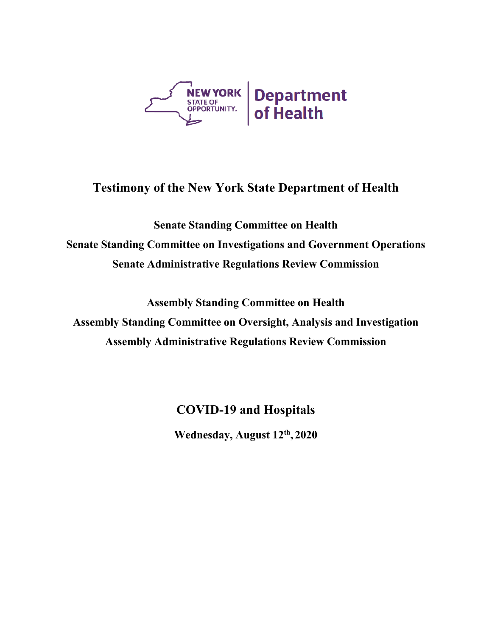

## **Testimony of the New York State Department of Health**

**Senate Standing Committee on Health Senate Standing Committee on Investigations and Government Operations Senate Administrative Regulations Review Commission**

**Assembly Standing Committee on Health Assembly Standing Committee on Oversight, Analysis and Investigation Assembly Administrative Regulations Review Commission**

**COVID-19 and Hospitals**

**Wednesday, August 12th , 2020**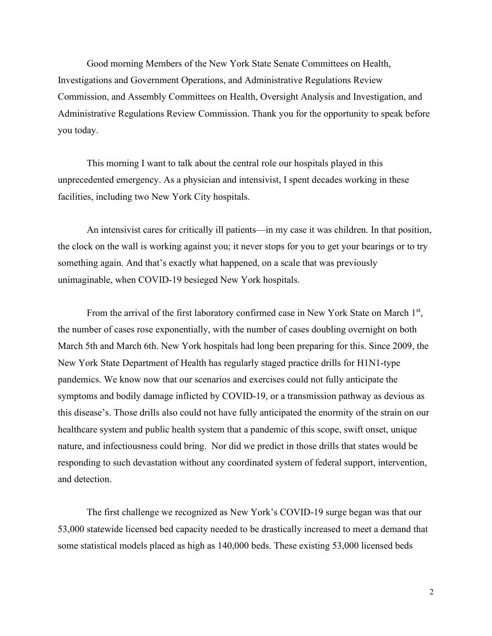Good morning Members of the New York State Senate Committees on Health, Investigations and Government Operations, and Administrative Regulations Review Commission, and Assembly Committees on Health, Oversight Analysis and Investigation, and Administrative Regulations Review Commission. Thank you for the opportunity to speak before you today.

This morning I want to talk about the central role our hospitals played in this unprecedented emergency. As a physician and intensivist, I spent decades working in these facilities, including two New York City hospitals.

An intensivist cares for critically ill patients—in my case it was children. In that position, the clock on the wall is working against you; it never stops for you to get your bearings or to try something again. And that's exactly what happened, on a scale that was previously unimaginable, when COVID-19 besieged New York hospitals.

From the arrival of the first laboratory confirmed case in New York State on March  $1<sup>st</sup>$ , the number of cases rose exponentially, with the number of cases doubling overnight on both March 5th and March 6th. New York hospitals had long been preparing for this. Since 2009, the New York State Department of Health has regularly staged practice drills for H1N1-type pandemics. We know now that our scenarios and exercises could not fully anticipate the symptoms and bodily damage inflicted by COVID-19, or a transmission pathway as devious as this disease's. Those drills also could not have fully anticipated the enormity of the strain on our healthcare system and public health system that a pandemic of this scope, swift onset, unique nature, and infectiousness could bring. Nor did we predict in those drills that states would be responding to such devastation without any coordinated system of federal support, intervention, and detection.

The first challenge we recognized as New York's COVID-19 surge began was that our 53,000 statewide licensed bed capacity needed to be drastically increased to meet a demand that some statistical models placed as high as 140,000 beds. These existing 53,000 licensed beds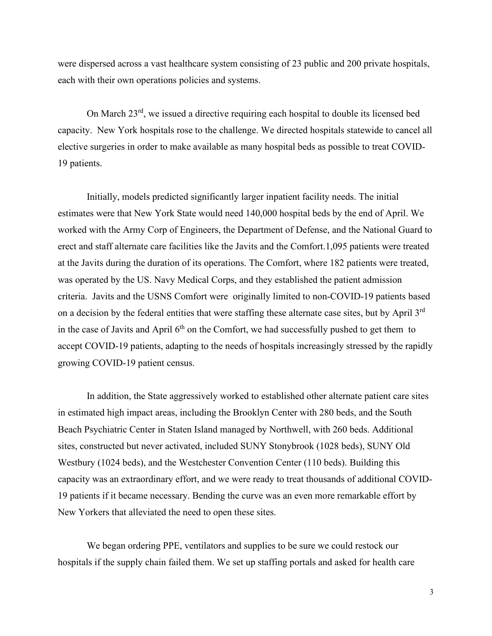were dispersed across a vast healthcare system consisting of 23 public and 200 private hospitals, each with their own operations policies and systems.

On March 23rd, we issued a directive requiring each hospital to double its licensed bed capacity. New York hospitals rose to the challenge. We directed hospitals statewide to cancel all elective surgeries in order to make available as many hospital beds as possible to treat COVID-19 patients.

Initially, models predicted significantly larger inpatient facility needs. The initial estimates were that New York State would need 140,000 hospital beds by the end of April. We worked with the Army Corp of Engineers, the Department of Defense, and the National Guard to erect and staff alternate care facilities like the Javits and the Comfort.1,095 patients were treated at the Javits during the duration of its operations. The Comfort, where 182 patients were treated, was operated by the US. Navy Medical Corps, and they established the patient admission criteria. Javits and the USNS Comfort were originally limited to non-COVID-19 patients based on a decision by the federal entities that were staffing these alternate case sites, but by April 3<sup>rd</sup> in the case of Javits and April  $6<sup>th</sup>$  on the Comfort, we had successfully pushed to get them to accept COVID-19 patients, adapting to the needs of hospitals increasingly stressed by the rapidly growing COVID-19 patient census.

In addition, the State aggressively worked to established other alternate patient care sites in estimated high impact areas, including the Brooklyn Center with 280 beds, and the South Beach Psychiatric Center in Staten Island managed by Northwell, with 260 beds. Additional sites, constructed but never activated, included SUNY Stonybrook (1028 beds), SUNY Old Westbury (1024 beds), and the Westchester Convention Center (110 beds). Building this capacity was an extraordinary effort, and we were ready to treat thousands of additional COVID-19 patients if it became necessary. Bending the curve was an even more remarkable effort by New Yorkers that alleviated the need to open these sites.

We began ordering PPE, ventilators and supplies to be sure we could restock our hospitals if the supply chain failed them. We set up staffing portals and asked for health care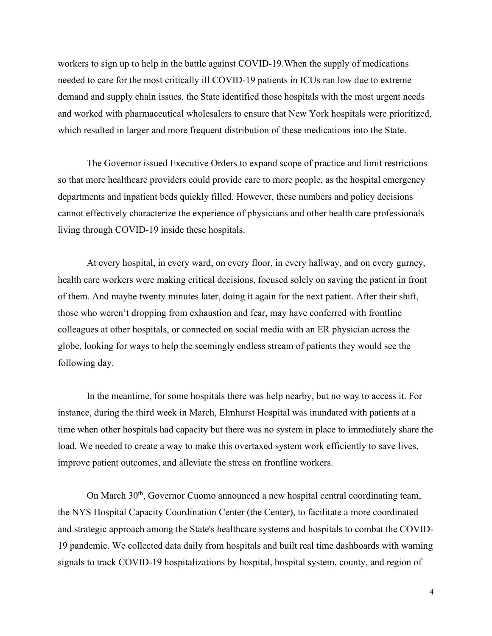workers to sign up to help in the battle against COVID-19.When the supply of medications needed to care for the most critically ill COVID-19 patients in ICUs ran low due to extreme demand and supply chain issues, the State identified those hospitals with the most urgent needs and worked with pharmaceutical wholesalers to ensure that New York hospitals were prioritized, which resulted in larger and more frequent distribution of these medications into the State.

The Governor issued Executive Orders to expand scope of practice and limit restrictions so that more healthcare providers could provide care to more people, as the hospital emergency departments and inpatient beds quickly filled. However, these numbers and policy decisions cannot effectively characterize the experience of physicians and other health care professionals living through COVID-19 inside these hospitals.

At every hospital, in every ward, on every floor, in every hallway, and on every gurney, health care workers were making critical decisions, focused solely on saving the patient in front of them. And maybe twenty minutes later, doing it again for the next patient. After their shift, those who weren't dropping from exhaustion and fear, may have conferred with frontline colleagues at other hospitals, or connected on social media with an ER physician across the globe, looking for ways to help the seemingly endless stream of patients they would see the following day.

In the meantime, for some hospitals there was help nearby, but no way to access it. For instance, during the third week in March, Elmhurst Hospital was inundated with patients at a time when other hospitals had capacity but there was no system in place to immediately share the load. We needed to create a way to make this overtaxed system work efficiently to save lives, improve patient outcomes, and alleviate the stress on frontline workers.

On March 30<sup>th</sup>, Governor Cuomo announced a new hospital central coordinating team, the NYS Hospital Capacity Coordination Center (the Center), to facilitate a more coordinated and strategic approach among the State's healthcare systems and hospitals to combat the COVID-19 pandemic. We collected data daily from hospitals and built real time dashboards with warning signals to track COVID-19 hospitalizations by hospital, hospital system, county, and region of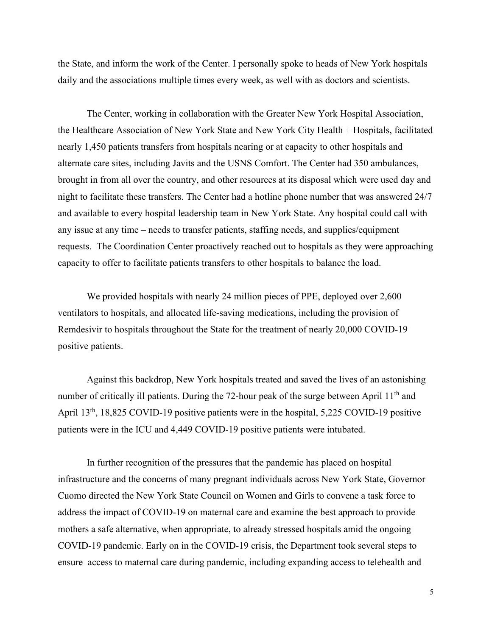the State, and inform the work of the Center. I personally spoke to heads of New York hospitals daily and the associations multiple times every week, as well with as doctors and scientists.

The Center, working in collaboration with the Greater New York Hospital Association, the Healthcare Association of New York State and New York City Health + Hospitals, facilitated nearly 1,450 patients transfers from hospitals nearing or at capacity to other hospitals and alternate care sites, including Javits and the USNS Comfort. The Center had 350 ambulances, brought in from all over the country, and other resources at its disposal which were used day and night to facilitate these transfers. The Center had a hotline phone number that was answered 24/7 and available to every hospital leadership team in New York State. Any hospital could call with any issue at any time – needs to transfer patients, staffing needs, and supplies/equipment requests. The Coordination Center proactively reached out to hospitals as they were approaching capacity to offer to facilitate patients transfers to other hospitals to balance the load.

We provided hospitals with nearly 24 million pieces of PPE, deployed over 2,600 ventilators to hospitals, and allocated life-saving medications, including the provision of Remdesivir to hospitals throughout the State for the treatment of nearly 20,000 COVID-19 positive patients.

Against this backdrop, New York hospitals treated and saved the lives of an astonishing number of critically ill patients. During the 72-hour peak of the surge between April 11<sup>th</sup> and April 13<sup>th</sup>, 18,825 COVID-19 positive patients were in the hospital, 5,225 COVID-19 positive patients were in the ICU and 4,449 COVID-19 positive patients were intubated.

In further recognition of the pressures that the pandemic has placed on hospital infrastructure and the concerns of many pregnant individuals across New York State, Governor Cuomo directed the New York State Council on Women and Girls to convene a task force to address the impact of COVID-19 on maternal care and examine the best approach to provide mothers a safe alternative, when appropriate, to already stressed hospitals amid the ongoing COVID-19 pandemic. Early on in the COVID-19 crisis, the Department took several steps to ensure access to maternal care during pandemic, including expanding access to telehealth and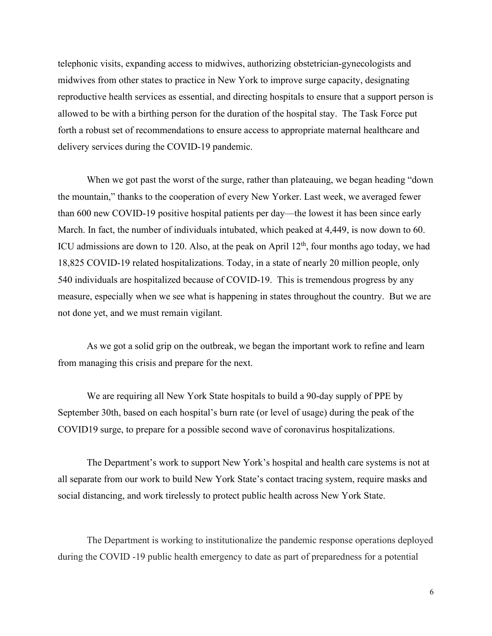telephonic visits, expanding access to midwives, authorizing obstetrician-gynecologists and midwives from other states to practice in New York to improve surge capacity, designating reproductive health services as essential, and directing hospitals to ensure that a support person is allowed to be with a birthing person for the duration of the hospital stay. The Task Force put forth a robust set of recommendations to ensure access to appropriate maternal healthcare and delivery services during the COVID-19 pandemic.

When we got past the worst of the surge, rather than plateauing, we began heading "down the mountain," thanks to the cooperation of every New Yorker. Last week, we averaged fewer than 600 new COVID-19 positive hospital patients per day—the lowest it has been since early March. In fact, the number of individuals intubated, which peaked at 4,449, is now down to 60. ICU admissions are down to 120. Also, at the peak on April  $12<sup>th</sup>$ , four months ago today, we had 18,825 COVID-19 related hospitalizations. Today, in a state of nearly 20 million people, only 540 individuals are hospitalized because of COVID-19. This is tremendous progress by any measure, especially when we see what is happening in states throughout the country. But we are not done yet, and we must remain vigilant.

As we got a solid grip on the outbreak, we began the important work to refine and learn from managing this crisis and prepare for the next.

We are requiring all New York State hospitals to build a 90-day supply of PPE by September 30th, based on each hospital's burn rate (or level of usage) during the peak of the COVID19 surge, to prepare for a possible second wave of coronavirus hospitalizations.

The Department's work to support New York's hospital and health care systems is not at all separate from our work to build New York State's contact tracing system, require masks and social distancing, and work tirelessly to protect public health across New York State.

The Department is working to institutionalize the pandemic response operations deployed during the COVID -19 public health emergency to date as part of preparedness for a potential